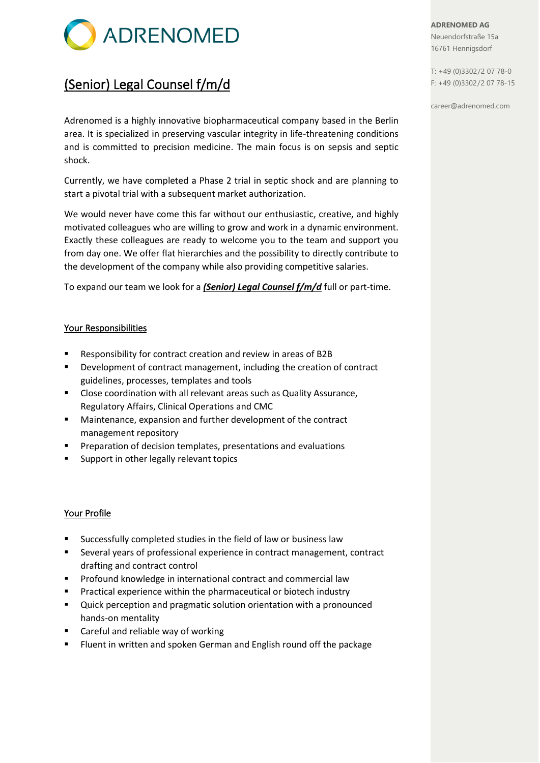

## (Senior) Legal Counsel f/m/d

Adrenomed is a highly innovative biopharmaceutical company based in the Berlin area. It is specialized in preserving vascular integrity in life-threatening conditions and is committed to precision medicine. The main focus is on sepsis and septic shock.

Currently, we have completed a Phase 2 trial in septic shock and are planning to start a pivotal trial with a subsequent market authorization.

We would never have come this far without our enthusiastic, creative, and highly motivated colleagues who are willing to grow and work in a dynamic environment. Exactly these colleagues are ready to welcome you to the team and support you from day one. We offer flat hierarchies and the possibility to directly contribute to the development of the company while also providing competitive salaries.

To expand our team we look for a *(Senior) Legal Counsel f/m/d* full or part-time.

## Your Responsibilities

- Responsibility for contract creation and review in areas of B2B
- Development of contract management, including the creation of contract guidelines, processes, templates and tools
- Close coordination with all relevant areas such as Quality Assurance, Regulatory Affairs, Clinical Operations and CMC
- Maintenance, expansion and further development of the contract management repository
- Preparation of decision templates, presentations and evaluations
- Support in other legally relevant topics

## Your Profile

- Successfully completed studies in the field of law or business law
- Several years of professional experience in contract management, contract drafting and contract control
- Profound knowledge in international contract and commercial law
- Practical experience within the pharmaceutical or biotech industry
- Quick perception and pragmatic solution orientation with a pronounced hands-on mentality
- **Careful and reliable way of working**
- Fluent in written and spoken German and English round off the package

**ADRENOMED AG** Neuendorfstraße 15a 16761 Hennigsdorf

T: +49 (0)3302/2 07 78-0 F: +49 (0)3302/2 07 78-15

career@adrenomed.com